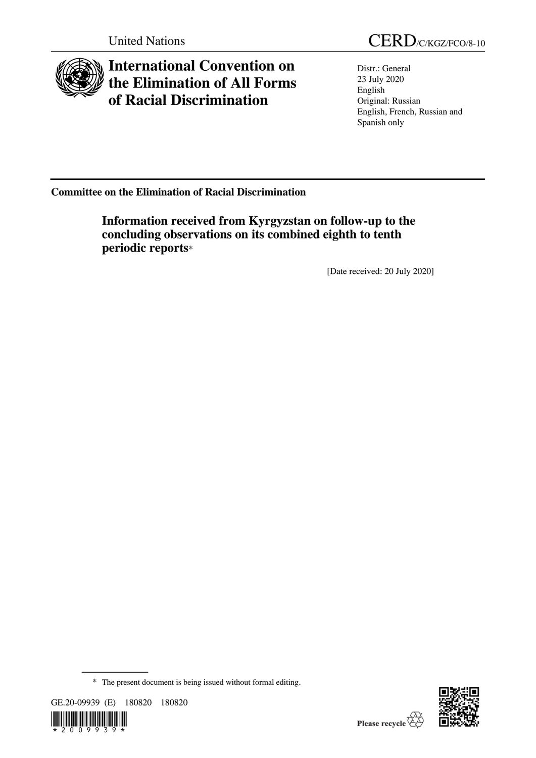

## **International Convention on the Elimination of All Forms of Racial Discrimination**

Distr.: General 23 July 2020 English Original: Russian English, French, Russian and Spanish only

**Committee on the Elimination of Racial Discrimination**

**Information received from Kyrgyzstan on follow-up to the concluding observations on its combined eighth to tenth periodic reports**\*

[Date received: 20 July 2020]

<sup>\*</sup> The present document is being issued without formal editing.





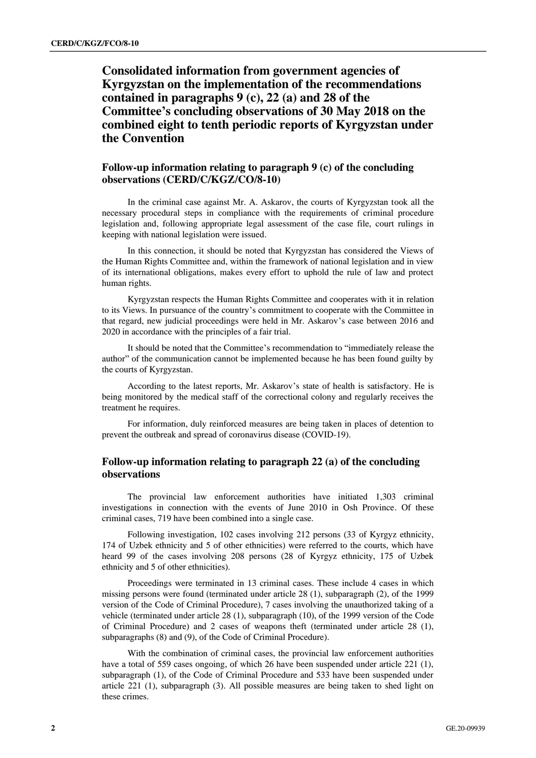**Consolidated information from government agencies of Kyrgyzstan on the implementation of the recommendations contained in paragraphs 9 (c), 22 (a) and 28 of the Committee's concluding observations of 30 May 2018 on the combined eight to tenth periodic reports of Kyrgyzstan under the Convention** 

## **Follow-up information relating to paragraph 9 (c) of the concluding observations (CERD/C/KGZ/CO/8-10)**

In the criminal case against Mr. A. Askarov, the courts of Kyrgyzstan took all the necessary procedural steps in compliance with the requirements of criminal procedure legislation and, following appropriate legal assessment of the case file, court rulings in keeping with national legislation were issued.

In this connection, it should be noted that Kyrgyzstan has considered the Views of the Human Rights Committee and, within the framework of national legislation and in view of its international obligations, makes every effort to uphold the rule of law and protect human rights.

Kyrgyzstan respects the Human Rights Committee and cooperates with it in relation to its Views. In pursuance of the country's commitment to cooperate with the Committee in that regard, new judicial proceedings were held in Mr. Askarov's case between 2016 and 2020 in accordance with the principles of a fair trial.

It should be noted that the Committee's recommendation to "immediately release the author" of the communication cannot be implemented because he has been found guilty by the courts of Kyrgyzstan.

According to the latest reports, Mr. Askarov's state of health is satisfactory. He is being monitored by the medical staff of the correctional colony and regularly receives the treatment he requires.

For information, duly reinforced measures are being taken in places of detention to prevent the outbreak and spread of coronavirus disease (COVID-19).

## **Follow-up information relating to paragraph 22 (a) of the concluding observations**

The provincial law enforcement authorities have initiated 1,303 criminal investigations in connection with the events of June 2010 in Osh Province. Of these criminal cases, 719 have been combined into a single case.

Following investigation, 102 cases involving 212 persons (33 of Kyrgyz ethnicity, 174 of Uzbek ethnicity and 5 of other ethnicities) were referred to the courts, which have heard 99 of the cases involving 208 persons (28 of Kyrgyz ethnicity, 175 of Uzbek ethnicity and 5 of other ethnicities).

Proceedings were terminated in 13 criminal cases. These include 4 cases in which missing persons were found (terminated under article 28 (1), subparagraph (2), of the 1999 version of the Code of Criminal Procedure), 7 cases involving the unauthorized taking of a vehicle (terminated under article 28 (1), subparagraph (10), of the 1999 version of the Code of Criminal Procedure) and 2 cases of weapons theft (terminated under article 28 (1), subparagraphs (8) and (9), of the Code of Criminal Procedure).

With the combination of criminal cases, the provincial law enforcement authorities have a total of 559 cases ongoing, of which 26 have been suspended under article 221 (1), subparagraph (1), of the Code of Criminal Procedure and 533 have been suspended under article 221 (1), subparagraph (3). All possible measures are being taken to shed light on these crimes.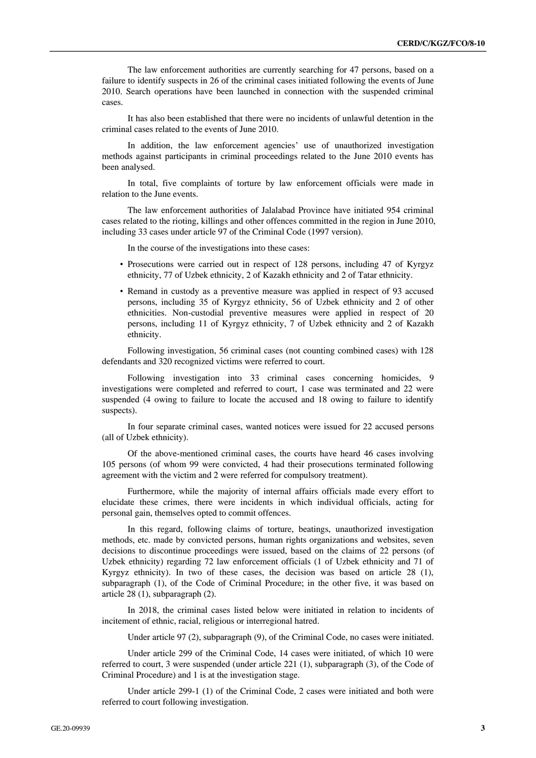The law enforcement authorities are currently searching for 47 persons, based on a failure to identify suspects in 26 of the criminal cases initiated following the events of June 2010. Search operations have been launched in connection with the suspended criminal cases.

It has also been established that there were no incidents of unlawful detention in the criminal cases related to the events of June 2010.

In addition, the law enforcement agencies' use of unauthorized investigation methods against participants in criminal proceedings related to the June 2010 events has been analysed.

In total, five complaints of torture by law enforcement officials were made in relation to the June events.

The law enforcement authorities of Jalalabad Province have initiated 954 criminal cases related to the rioting, killings and other offences committed in the region in June 2010, including 33 cases under article 97 of the Criminal Code (1997 version).

In the course of the investigations into these cases:

- Prosecutions were carried out in respect of 128 persons, including 47 of Kyrgyz ethnicity, 77 of Uzbek ethnicity, 2 of Kazakh ethnicity and 2 of Tatar ethnicity.
- Remand in custody as a preventive measure was applied in respect of 93 accused persons, including 35 of Kyrgyz ethnicity, 56 of Uzbek ethnicity and 2 of other ethnicities. Non-custodial preventive measures were applied in respect of 20 persons, including 11 of Kyrgyz ethnicity, 7 of Uzbek ethnicity and 2 of Kazakh ethnicity.

Following investigation, 56 criminal cases (not counting combined cases) with 128 defendants and 320 recognized victims were referred to court.

Following investigation into 33 criminal cases concerning homicides, 9 investigations were completed and referred to court, 1 case was terminated and 22 were suspended (4 owing to failure to locate the accused and 18 owing to failure to identify suspects).

In four separate criminal cases, wanted notices were issued for 22 accused persons (all of Uzbek ethnicity).

Of the above-mentioned criminal cases, the courts have heard 46 cases involving 105 persons (of whom 99 were convicted, 4 had their prosecutions terminated following agreement with the victim and 2 were referred for compulsory treatment).

Furthermore, while the majority of internal affairs officials made every effort to elucidate these crimes, there were incidents in which individual officials, acting for personal gain, themselves opted to commit offences.

In this regard, following claims of torture, beatings, unauthorized investigation methods, etc. made by convicted persons, human rights organizations and websites, seven decisions to discontinue proceedings were issued, based on the claims of 22 persons (of Uzbek ethnicity) regarding 72 law enforcement officials (1 of Uzbek ethnicity and 71 of Kyrgyz ethnicity). In two of these cases, the decision was based on article 28 (1), subparagraph (1), of the Code of Criminal Procedure; in the other five, it was based on article 28 (1), subparagraph (2).

In 2018, the criminal cases listed below were initiated in relation to incidents of incitement of ethnic, racial, religious or interregional hatred.

Under article 97 (2), subparagraph (9), of the Criminal Code, no cases were initiated.

Under article 299 of the Criminal Code, 14 cases were initiated, of which 10 were referred to court, 3 were suspended (under article 221 (1), subparagraph (3), of the Code of Criminal Procedure) and 1 is at the investigation stage.

Under article 299-1 (1) of the Criminal Code, 2 cases were initiated and both were referred to court following investigation.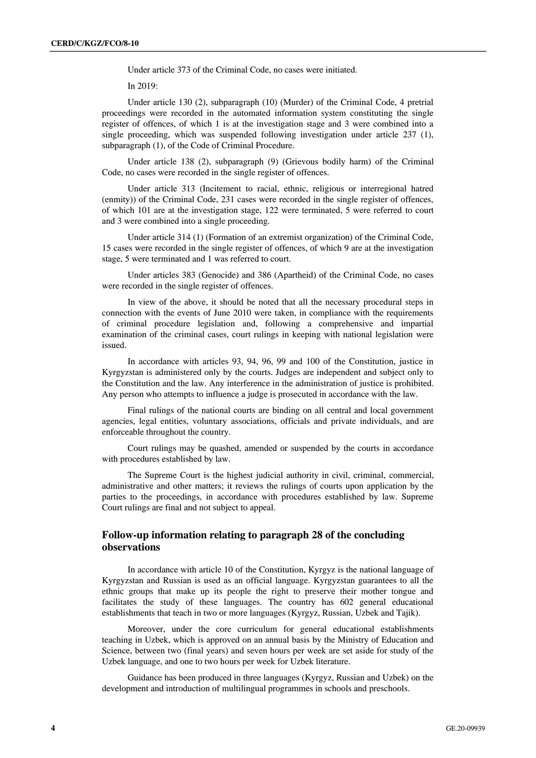Under article 373 of the Criminal Code, no cases were initiated.

In 2019:

Under article 130 (2), subparagraph (10) (Murder) of the Criminal Code, 4 pretrial proceedings were recorded in the automated information system constituting the single register of offences, of which 1 is at the investigation stage and 3 were combined into a single proceeding, which was suspended following investigation under article 237 (1), subparagraph (1), of the Code of Criminal Procedure.

Under article 138 (2), subparagraph (9) (Grievous bodily harm) of the Criminal Code, no cases were recorded in the single register of offences.

Under article 313 (Incitement to racial, ethnic, religious or interregional hatred (enmity)) of the Criminal Code, 231 cases were recorded in the single register of offences, of which 101 are at the investigation stage, 122 were terminated, 5 were referred to court and 3 were combined into a single proceeding.

Under article 314 (1) (Formation of an extremist organization) of the Criminal Code, 15 cases were recorded in the single register of offences, of which 9 are at the investigation stage, 5 were terminated and 1 was referred to court.

Under articles 383 (Genocide) and 386 (Apartheid) of the Criminal Code, no cases were recorded in the single register of offences.

In view of the above, it should be noted that all the necessary procedural steps in connection with the events of June 2010 were taken, in compliance with the requirements of criminal procedure legislation and, following a comprehensive and impartial examination of the criminal cases, court rulings in keeping with national legislation were issued.

In accordance with articles 93, 94, 96, 99 and 100 of the Constitution, justice in Kyrgyzstan is administered only by the courts. Judges are independent and subject only to the Constitution and the law. Any interference in the administration of justice is prohibited. Any person who attempts to influence a judge is prosecuted in accordance with the law.

Final rulings of the national courts are binding on all central and local government agencies, legal entities, voluntary associations, officials and private individuals, and are enforceable throughout the country.

Court rulings may be quashed, amended or suspended by the courts in accordance with procedures established by law.

The Supreme Court is the highest judicial authority in civil, criminal, commercial, administrative and other matters; it reviews the rulings of courts upon application by the parties to the proceedings, in accordance with procedures established by law. Supreme Court rulings are final and not subject to appeal.

## **Follow-up information relating to paragraph 28 of the concluding observations**

In accordance with article 10 of the Constitution, Kyrgyz is the national language of Kyrgyzstan and Russian is used as an official language. Kyrgyzstan guarantees to all the ethnic groups that make up its people the right to preserve their mother tongue and facilitates the study of these languages. The country has 602 general educational establishments that teach in two or more languages (Kyrgyz, Russian, Uzbek and Tajik).

Moreover, under the core curriculum for general educational establishments teaching in Uzbek, which is approved on an annual basis by the Ministry of Education and Science, between two (final years) and seven hours per week are set aside for study of the Uzbek language, and one to two hours per week for Uzbek literature.

Guidance has been produced in three languages (Kyrgyz, Russian and Uzbek) on the development and introduction of multilingual programmes in schools and preschools.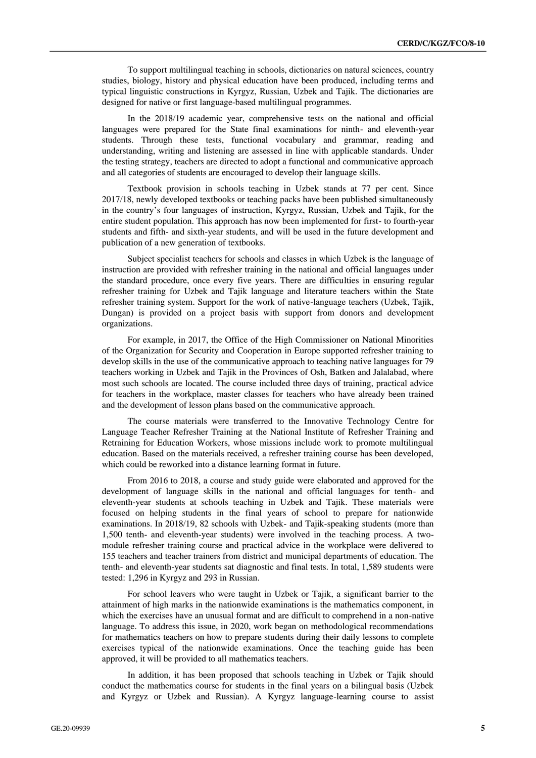To support multilingual teaching in schools, dictionaries on natural sciences, country studies, biology, history and physical education have been produced, including terms and typical linguistic constructions in Kyrgyz, Russian, Uzbek and Tajik. The dictionaries are designed for native or first language-based multilingual programmes.

In the 2018/19 academic year, comprehensive tests on the national and official languages were prepared for the State final examinations for ninth- and eleventh-year students. Through these tests, functional vocabulary and grammar, reading and understanding, writing and listening are assessed in line with applicable standards. Under the testing strategy, teachers are directed to adopt a functional and communicative approach and all categories of students are encouraged to develop their language skills.

Textbook provision in schools teaching in Uzbek stands at 77 per cent. Since 2017/18, newly developed textbooks or teaching packs have been published simultaneously in the country's four languages of instruction, Kyrgyz, Russian, Uzbek and Tajik, for the entire student population. This approach has now been implemented for first- to fourth-year students and fifth- and sixth-year students, and will be used in the future development and publication of a new generation of textbooks.

Subject specialist teachers for schools and classes in which Uzbek is the language of instruction are provided with refresher training in the national and official languages under the standard procedure, once every five years. There are difficulties in ensuring regular refresher training for Uzbek and Tajik language and literature teachers within the State refresher training system. Support for the work of native-language teachers (Uzbek, Tajik, Dungan) is provided on a project basis with support from donors and development organizations.

For example, in 2017, the Office of the High Commissioner on National Minorities of the Organization for Security and Cooperation in Europe supported refresher training to develop skills in the use of the communicative approach to teaching native languages for 79 teachers working in Uzbek and Tajik in the Provinces of Osh, Batken and Jalalabad, where most such schools are located. The course included three days of training, practical advice for teachers in the workplace, master classes for teachers who have already been trained and the development of lesson plans based on the communicative approach.

The course materials were transferred to the Innovative Technology Centre for Language Teacher Refresher Training at the National Institute of Refresher Training and Retraining for Education Workers, whose missions include work to promote multilingual education. Based on the materials received, a refresher training course has been developed, which could be reworked into a distance learning format in future.

From 2016 to 2018, a course and study guide were elaborated and approved for the development of language skills in the national and official languages for tenth- and eleventh-year students at schools teaching in Uzbek and Tajik. These materials were focused on helping students in the final years of school to prepare for nationwide examinations. In 2018/19, 82 schools with Uzbek- and Tajik-speaking students (more than 1,500 tenth- and eleventh-year students) were involved in the teaching process. A twomodule refresher training course and practical advice in the workplace were delivered to 155 teachers and teacher trainers from district and municipal departments of education. The tenth- and eleventh-year students sat diagnostic and final tests. In total, 1,589 students were tested: 1,296 in Kyrgyz and 293 in Russian.

For school leavers who were taught in Uzbek or Tajik, a significant barrier to the attainment of high marks in the nationwide examinations is the mathematics component, in which the exercises have an unusual format and are difficult to comprehend in a non-native language. To address this issue, in 2020, work began on methodological recommendations for mathematics teachers on how to prepare students during their daily lessons to complete exercises typical of the nationwide examinations. Once the teaching guide has been approved, it will be provided to all mathematics teachers.

In addition, it has been proposed that schools teaching in Uzbek or Tajik should conduct the mathematics course for students in the final years on a bilingual basis (Uzbek and Kyrgyz or Uzbek and Russian). A Kyrgyz language-learning course to assist